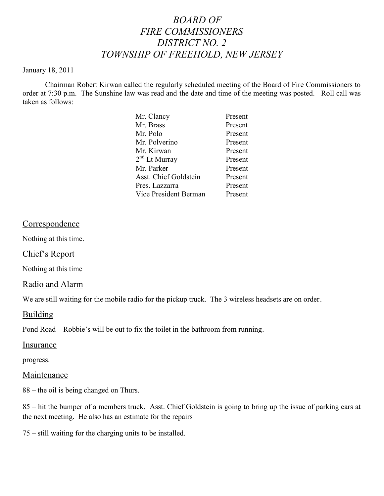# *BOARD OF FIRE COMMISSIONERS DISTRICT NO. 2 TOWNSHIP OF FREEHOLD, NEW JERSEY*

#### January 18, 2011

Chairman Robert Kirwan called the regularly scheduled meeting of the Board of Fire Commissioners to order at 7:30 p.m. The Sunshine law was read and the date and time of the meeting was posted. Roll call was taken as follows:

| Mr. Clancy            | Present |
|-----------------------|---------|
| Mr. Brass             | Present |
| Mr. Polo              | Present |
| Mr. Polverino         | Present |
| Mr. Kirwan            | Present |
| $2nd$ Lt Murray       | Present |
| Mr. Parker            | Present |
| Asst. Chief Goldstein | Present |
| Pres. Lazzarra        | Present |
| Vice President Berman | Present |

#### Correspondence

Nothing at this time.

#### Chief's Report

Nothing at this time

# Radio and Alarm

We are still waiting for the mobile radio for the pickup truck. The 3 wireless headsets are on order.

#### **Building**

Pond Road – Robbie's will be out to fix the toilet in the bathroom from running.

#### Insurance

progress.

#### Maintenance

88 – the oil is being changed on Thurs.

85 – hit the bumper of a members truck. Asst. Chief Goldstein is going to bring up the issue of parking cars at the next meeting. He also has an estimate for the repairs

75 – still waiting for the charging units to be installed.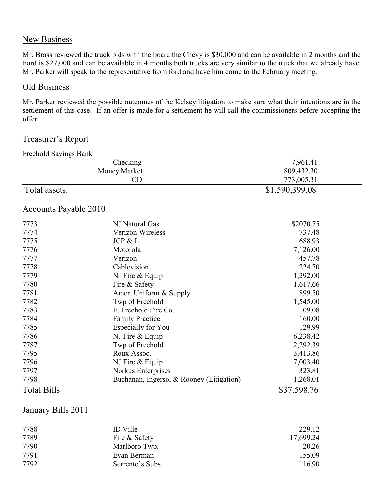# New Business

Mr. Brass reviewed the truck bids with the board the Chevy is \$30,000 and can be available in 2 months and the Ford is \$27,000 and can be available in 4 months both trucks are very similar to the truck that we already have. Mr. Parker will speak to the representative from ford and have him come to the February meeting.

### Old Business

Mr. Parker reviewed the possible outcomes of the Kelsey litigation to make sure what their intentions are in the settlement of this case. If an offer is made for a settlement he will call the commissioners before accepting the offer.

# Treasurer's Report

| Freehold Savings Bank        |                                          |                |
|------------------------------|------------------------------------------|----------------|
| Checking                     |                                          | 7,961.41       |
|                              | Money Market                             | 809,432.30     |
|                              | CD                                       | 773,005.31     |
| Total assets:                |                                          | \$1,590,399.08 |
| <b>Accounts Payable 2010</b> |                                          |                |
| 7773                         | NJ Natural Gas                           | \$2070.75      |
| 7774                         | Verizon Wireless                         | 737.48         |
| 7775                         | JCP & L                                  | 688.93         |
| 7776                         | Motorola                                 | 7,126.00       |
| 7777                         | Verizon                                  | 457.78         |
| 7778                         | Cablevision                              | 224.70         |
| 7779                         | NJ Fire $&$ Equip                        | 1,292.00       |
| 7780                         | Fire & Safety                            | 1,617.66       |
| 7781                         | Amer. Uniform & Supply                   | 899.50         |
| 7782                         | Twp of Freehold                          | 1,545.00       |
| 7783                         | E. Freehold Fire Co.                     | 109.08         |
| 7784                         | <b>Family Practice</b>                   | 160.00         |
| 7785                         | Especially for You                       | 129.99         |
| 7786                         | NJ Fire & Equip                          | 6,238.42       |
| 7787                         | Twp of Freehold                          | 2,292.39       |
| 7795                         | Roux Assoc.                              | 3,413.86       |
| 7796                         | NJ Fire & Equip                          | 7,003.40       |
| 7797                         | Norkus Enterprises                       | 323.81         |
| 7798                         | Buchanan, Ingersol & Rooney (Litigation) | 1,268.01       |
| <b>Total Bills</b>           |                                          | \$37,598.76    |

### January Bills 2011

| 7788 | <b>ID</b> Ville | 229.12    |
|------|-----------------|-----------|
| 7789 | Fire & Safety   | 17,699.24 |
| 7790 | Marlboro Twp.   | 20.26     |
| 7791 | Evan Berman     | 155.09    |
| 7792 | Sorrento's Subs | 116.90    |